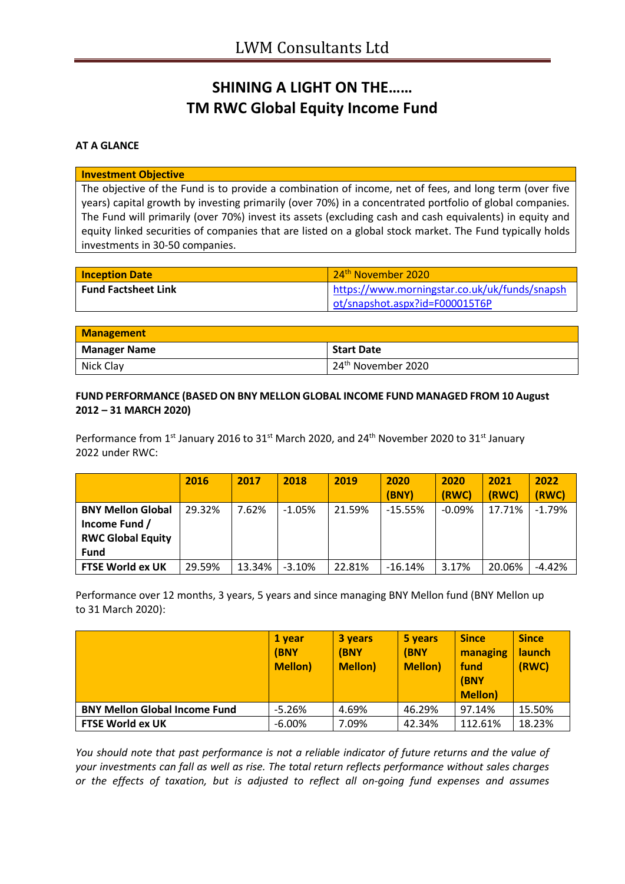# **SHINING A LIGHT ON THE…… TM RWC Global Equity Income Fund**

## **AT A GLANCE**

#### **Investment Objective**

The objective of the Fund is to provide a combination of income, net of fees, and long term (over five years) capital growth by investing primarily (over 70%) in a concentrated portfolio of global companies. The Fund will primarily (over 70%) invest its assets (excluding cash and cash equivalents) in equity and equity linked securities of companies that are listed on a global stock market. The Fund typically holds investments in 30-50 companies.

| <b>Inception Date</b>      | 24 <sup>th</sup> November 2020                |
|----------------------------|-----------------------------------------------|
| <b>Fund Factsheet Link</b> | https://www.morningstar.co.uk/uk/funds/snapsh |
|                            | ot/snapshot.aspx?id=F000015T6P                |

| <b>Management</b>   |                                |  |
|---------------------|--------------------------------|--|
| <b>Manager Name</b> | <b>Start Date</b>              |  |
| Nick Clay           | 24 <sup>th</sup> November 2020 |  |

# **FUND PERFORMANCE (BASED ON BNY MELLON GLOBAL INCOME FUND MANAGED FROM 10 August 2012 – 31 MARCH 2020)**

Performance from 1<sup>st</sup> January 2016 to 31<sup>st</sup> March 2020, and 24<sup>th</sup> November 2020 to 31<sup>st</sup> January 2022 under RWC:

|                                                                                      | 2016   | 2017   | 2018     | 2019   | 2020<br>(BNY) | 2020<br>(RWC) | 2021<br>(RWC) | 2022<br>(RWC) |
|--------------------------------------------------------------------------------------|--------|--------|----------|--------|---------------|---------------|---------------|---------------|
| <b>BNY Mellon Global</b><br>Income Fund /<br><b>RWC Global Equity</b><br><b>Fund</b> | 29.32% | 7.62%  | $-1.05%$ | 21.59% | $-15.55%$     | $-0.09\%$     | 17.71%        | $-1.79%$      |
| <b>FTSE World ex UK</b>                                                              | 29.59% | 13.34% | $-3.10%$ | 22.81% | $-16.14%$     | 3.17%         | 20.06%        | $-4.42%$      |

Performance over 12 months, 3 years, 5 years and since managing BNY Mellon fund (BNY Mellon up to 31 March 2020):

|                                      | 1 year<br>(BNY<br><b>Mellon</b> ) | 3 years<br>(BNY<br><b>Mellon</b> ) | 5 years<br>(BNY<br><b>Mellon</b> ) | <b>Since</b><br>managing<br>fund<br><b>(BNY</b><br><b>Mellon</b> ) | <b>Since</b><br><b>launch</b><br>(RWC) |
|--------------------------------------|-----------------------------------|------------------------------------|------------------------------------|--------------------------------------------------------------------|----------------------------------------|
| <b>BNY Mellon Global Income Fund</b> | $-5.26%$                          | 4.69%                              | 46.29%                             | 97.14%                                                             | 15.50%                                 |
| <b>FTSE World ex UK</b>              | $-6.00%$                          | 7.09%                              | 42.34%                             | 112.61%                                                            | 18.23%                                 |

*You should note that past performance is not a reliable indicator of future returns and the value of your investments can fall as well as rise. The total return reflects performance without sales charges or the effects of taxation, but is adjusted to reflect all on-going fund expenses and assumes*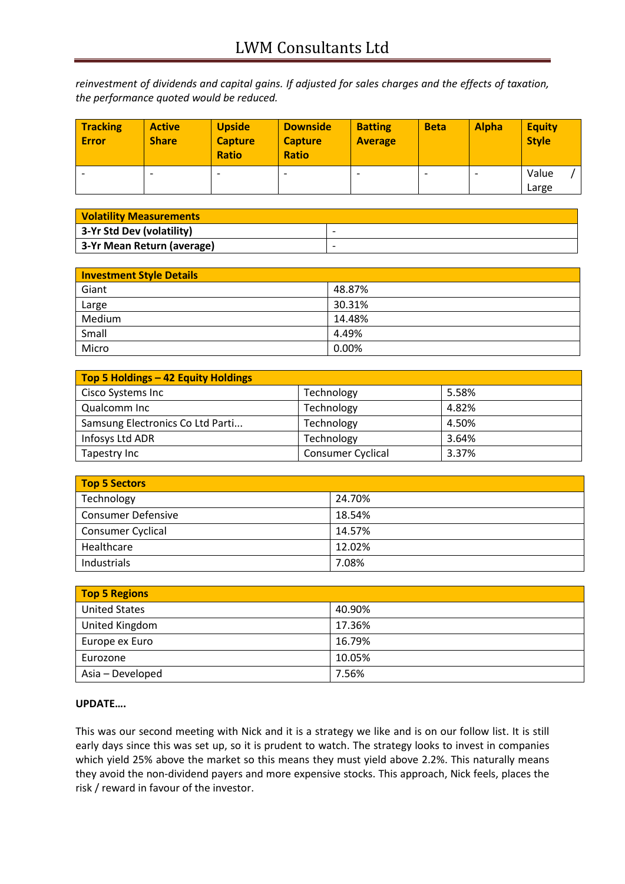*reinvestment of dividends and capital gains. If adjusted for sales charges and the effects of taxation, the performance quoted would be reduced.*

| <b>Tracking</b><br><b>Error</b> | <b>Active</b><br><b>Share</b> | <b>Upside</b><br><b>Capture</b><br><b>Ratio</b> | <b>Downside</b><br><b>Capture</b><br><b>Ratio</b> | <b>Batting</b><br><b>Average</b> | <b>Beta</b> | <b>Alpha</b> | <b>Equity</b><br><b>Style</b> |
|---------------------------------|-------------------------------|-------------------------------------------------|---------------------------------------------------|----------------------------------|-------------|--------------|-------------------------------|
|                                 | $\overline{\phantom{0}}$      | $\overline{\phantom{0}}$                        | $\overline{\phantom{0}}$                          |                                  |             |              | Value<br>Large                |

| <b>Volatility Measurements</b> |                          |
|--------------------------------|--------------------------|
| 3-Yr Std Dev (volatility)      | $\overline{\phantom{0}}$ |
| 3-Yr Mean Return (average)     | $\overline{\phantom{0}}$ |

| <b>Investment Style Details</b> |        |  |
|---------------------------------|--------|--|
| Giant                           | 48.87% |  |
| Large                           | 30.31% |  |
| Medium                          | 14.48% |  |
| Small                           | 4.49%  |  |
| Micro                           | 0.00%  |  |

| Top 5 Holdings - 42 Equity Holdings |                          |       |
|-------------------------------------|--------------------------|-------|
| Cisco Systems Inc                   | Technology               | 5.58% |
| Qualcomm Inc                        | Technology               | 4.82% |
| Samsung Electronics Co Ltd Parti    | Technology               | 4.50% |
| Infosys Ltd ADR                     | Technology               | 3.64% |
| Tapestry Inc                        | <b>Consumer Cyclical</b> | 3.37% |

| Top 5 Sectors             |        |
|---------------------------|--------|
| Technology                | 24.70% |
| <b>Consumer Defensive</b> | 18.54% |
| Consumer Cyclical         | 14.57% |
| Healthcare                | 12.02% |
| Industrials               | 7.08%  |

| <b>Top 5 Regions</b> |        |
|----------------------|--------|
| <b>United States</b> | 40.90% |
| United Kingdom       | 17.36% |
| Europe ex Euro       | 16.79% |
| Eurozone             | 10.05% |
| Asia - Developed     | 7.56%  |

## **UPDATE….**

This was our second meeting with Nick and it is a strategy we like and is on our follow list. It is still early days since this was set up, so it is prudent to watch. The strategy looks to invest in companies which yield 25% above the market so this means they must yield above 2.2%. This naturally means they avoid the non-dividend payers and more expensive stocks. This approach, Nick feels, places the risk / reward in favour of the investor.